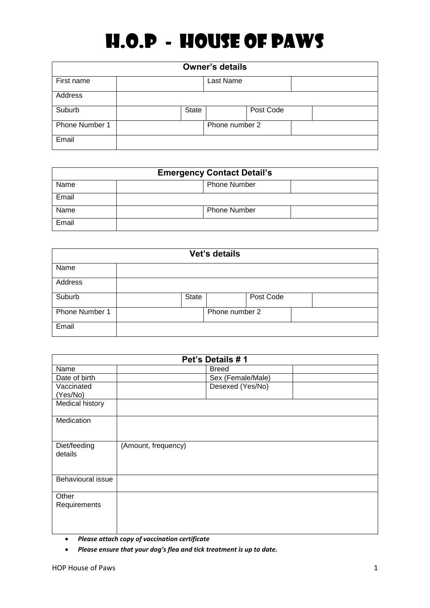## H.O.P - HOUSE OF PAWS

| <b>Owner's details</b> |              |                |           |  |  |
|------------------------|--------------|----------------|-----------|--|--|
| First name             |              | Last Name      |           |  |  |
| Address                |              |                |           |  |  |
| Suburb                 | <b>State</b> |                | Post Code |  |  |
| Phone Number 1         |              | Phone number 2 |           |  |  |
| Email                  |              |                |           |  |  |

| <b>Emergency Contact Detail's</b> |                     |  |  |  |
|-----------------------------------|---------------------|--|--|--|
| Name                              | <b>Phone Number</b> |  |  |  |
| Email                             |                     |  |  |  |
| Name                              | <b>Phone Number</b> |  |  |  |
| Email                             |                     |  |  |  |

| Vet's details  |  |       |                |           |  |  |
|----------------|--|-------|----------------|-----------|--|--|
| Name           |  |       |                |           |  |  |
| Address        |  |       |                |           |  |  |
| Suburb         |  | State |                | Post Code |  |  |
| Phone Number 1 |  |       | Phone number 2 |           |  |  |
| Email          |  |       |                |           |  |  |

| Pet's Details #1        |                     |                   |  |  |  |
|-------------------------|---------------------|-------------------|--|--|--|
| Name                    |                     | <b>Breed</b>      |  |  |  |
| Date of birth           |                     | Sex (Female/Male) |  |  |  |
| Vaccinated              |                     | Desexed (Yes/No)  |  |  |  |
| (Yes/No)                |                     |                   |  |  |  |
| Medical history         |                     |                   |  |  |  |
| Medication              |                     |                   |  |  |  |
| Diet/feeding<br>details | (Amount, frequency) |                   |  |  |  |
| Behavioural issue       |                     |                   |  |  |  |
| Other<br>Requirements   |                     |                   |  |  |  |
|                         |                     |                   |  |  |  |

- *Please attach copy of vaccination certificate*
- *Please ensure that your dog's flea and tick treatment is up to date.*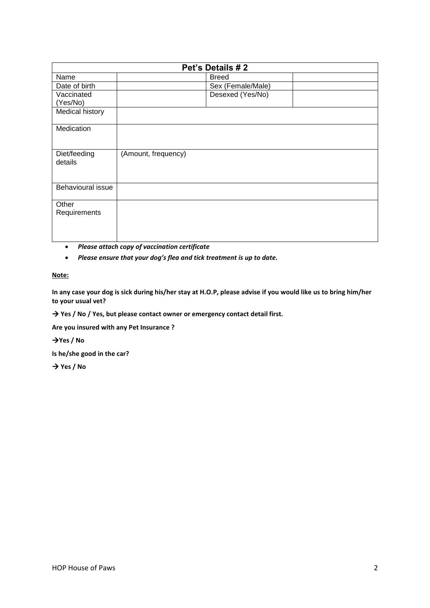| Pet's Details #2        |                     |                   |  |  |  |
|-------------------------|---------------------|-------------------|--|--|--|
| Name                    |                     | <b>Breed</b>      |  |  |  |
| Date of birth           |                     | Sex (Female/Male) |  |  |  |
| Vaccinated              |                     | Desexed (Yes/No)  |  |  |  |
| (Yes/No)                |                     |                   |  |  |  |
| Medical history         |                     |                   |  |  |  |
| Medication              |                     |                   |  |  |  |
| Diet/feeding<br>details | (Amount, frequency) |                   |  |  |  |
| Behavioural issue       |                     |                   |  |  |  |
| Other<br>Requirements   |                     |                   |  |  |  |
|                         |                     |                   |  |  |  |

- *Please attach copy of vaccination certificate*
- *Please ensure that your dog's flea and tick treatment is up to date.*

## **Note:**

**In any case your dog is sick during his/her stay at H.O.P, please advise if you would like us to bring him/her to your usual vet?** 

→ Yes / No / Yes, but please contact owner or emergency contact detail first.

**Are you insured with any Pet Insurance ?** 

**Yes / No**

**Is he/she good in the car?**

→ Yes / No